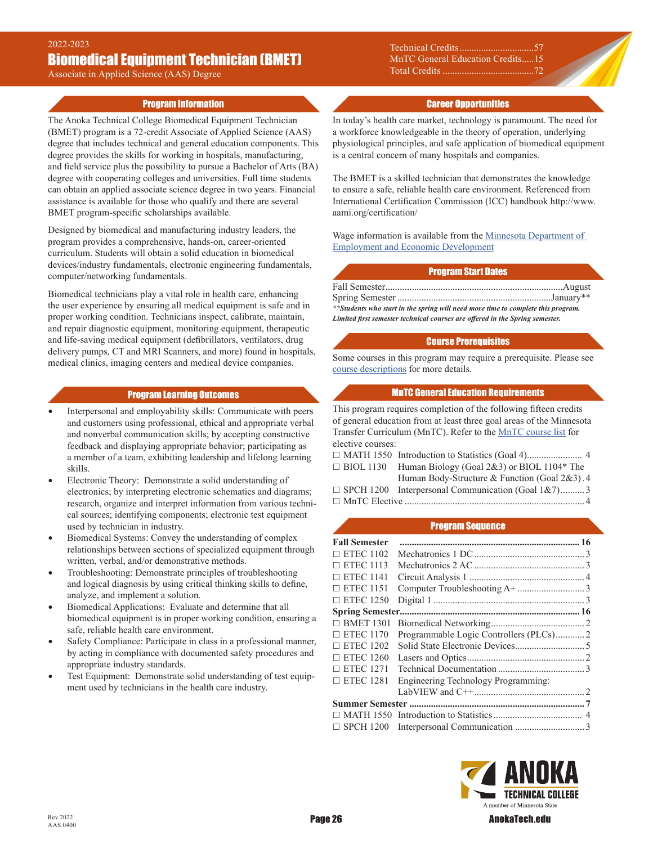Associate in Applied Science (AAS) Degree

## Program Information

The Anoka Technical College Biomedical Equipment Technician (BMET) program is a 72-credit Associate of Applied Science (AAS) degree that includes technical and general education components. This degree provides the skills for working in hospitals, manufacturing, and field service plus the possibility to pursue a Bachelor of Arts (BA) degree with cooperating colleges and universities. Full time students can obtain an applied associate science degree in two years. Financial assistance is available for those who qualify and there are several BMET program-specific scholarships available.

Designed by biomedical and manufacturing industry leaders, the program provides a comprehensive, hands-on, career-oriented curriculum. Students will obtain a solid education in biomedical devices/industry fundamentals, electronic engineering fundamentals, computer/networking fundamentals.

Biomedical technicians play a vital role in health care, enhancing the user experience by ensuring all medical equipment is safe and in proper working condition. Technicians inspect, calibrate, maintain, and repair diagnostic equipment, monitoring equipment, therapeutic and life-saving medical equipment (defibrillators, ventilators, drug delivery pumps, CT and MRI Scanners, and more) found in hospitals, medical clinics, imaging centers and medical device companies.

### Program Learning Outcomes

- Interpersonal and employability skills: Communicate with peers and customers using professional, ethical and appropriate verbal and nonverbal communication skills; by accepting constructive feedback and displaying appropriate behavior; participating as a member of a team, exhibiting leadership and lifelong learning skills.
- Electronic Theory: Demonstrate a solid understanding of electronics; by interpreting electronic schematics and diagrams; research, organize and interpret information from various technical sources; identifying components; electronic test equipment used by technician in industry.
- Biomedical Systems: Convey the understanding of complex relationships between sections of specialized equipment through written, verbal, and/or demonstrative methods.
- Troubleshooting: Demonstrate principles of troubleshooting and logical diagnosis by using critical thinking skills to define, analyze, and implement a solution.
- Biomedical Applications: Evaluate and determine that all biomedical equipment is in proper working condition, ensuring a safe, reliable health care environment.
- Safety Compliance: Participate in class in a professional manner, by acting in compliance with documented safety procedures and appropriate industry standards.
- Test Equipment: Demonstrate solid understanding of test equipment used by technicians in the health care industry.

Technical Credits ............................. MnTC General Education Credits .....15 Total Credits ......................................72

### Career Opportunities

In today's health care market, technology is paramount. The need for a workforce knowledgeable in the theory of operation, underlying physiological principles, and safe application of biomedical equipment is a central concern of many hospitals and companies.

The BMET is a skilled technician that demonstrates the knowledge to ensure a safe, reliable health care environment. Referenced from International Certification Commission (ICC) handbook http://www. aami.org/certification/

Wage information is available from the [Minnesota Department of](https://mn.gov/deed/job-seekers/job-outlook/)  [Employment and Economic Development](https://mn.gov/deed/job-seekers/job-outlook/)

### Program Start Dates

| **Students who start in the spring will need more time to complete this program. |  |
|----------------------------------------------------------------------------------|--|
| Limited first semester technical courses are offered in the Spring semester.     |  |

#### Course Prerequisites

Some courses in this program may require a prerequisite. Please see [course descriptions](http://www.anokatech.edu/ProgramsCourses/CourseList_Descriptions ) for more details.

# MnTC General Education Requirements

This program requires completion of the following fifteen credits of general education from at least three goal areas of the Minnesota Transfer Curriculum (MnTC). Refer to the [MnTC course list](http://www.anokatech.edu/BecomeStudent/Transfers/MnTC) for elective courses:

| $\Box$ BIOL 1130 Human Biology (Goal 2&3) or BIOL 1104* The |
|-------------------------------------------------------------|
| Human Body-Structure & Function (Goal 2&3). 4               |
| $\Box$ SPCH 1200 Interpersonal Communication (Goal 1&7)3    |
|                                                             |
|                                                             |

### Program Sequence

| <b>Fall Semester</b> |                                     |  |
|----------------------|-------------------------------------|--|
| $\Box$ ETEC 1102     |                                     |  |
| $\Box$ ETEC 1113     |                                     |  |
| $\Box$ ETEC 1141     |                                     |  |
| $\Box$ ETEC 1151     |                                     |  |
| $\Box$ ETEC 1250     |                                     |  |
|                      |                                     |  |
| $\Box$ BMET 1301     |                                     |  |
| $\Box$ ETEC 1170     |                                     |  |
| $\Box$ ETEC 1202     |                                     |  |
| $\Box$ ETEC 1260     |                                     |  |
| $\Box$ ETEC 1271     |                                     |  |
| $\Box$ ETEC 1281     | Engineering Technology Programming: |  |
|                      |                                     |  |
|                      |                                     |  |
|                      |                                     |  |
| $\Box$ SPCH 1200     |                                     |  |